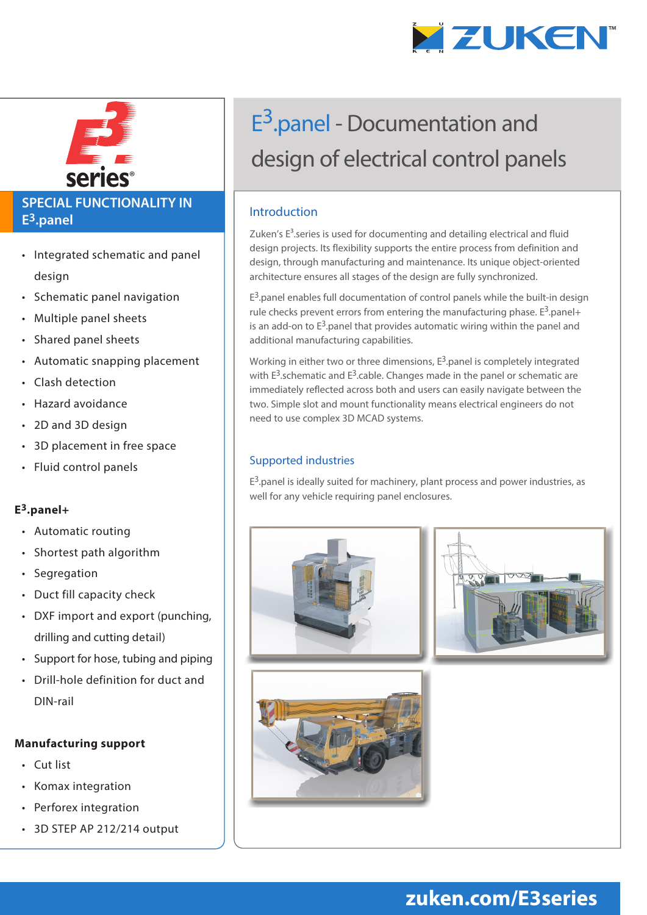



### **SPECIAL FUNCTIONALITY IN E3.panel**

- Integrated schematic and panel design
- Schematic panel navigation
- Multiple panel sheets
- Shared panel sheets
- Automatic snapping placement
- Clash detection
- Hazard avoidance
- 2D and 3D design
- 3D placement in free space
- Fluid control panels

#### **E3.panel+**

- Automatic routing
- Shortest path algorithm
- Segregation
- Duct fill capacity check
- DXF import and export (punching, drilling and cutting detail)
- Support for hose, tubing and piping
- Drill-hole definition for duct and DIN-rail

#### **Manufacturing support**

- Cut list
- Komax integration
- Perforex integration
- 3D STEP AP 212/214 output

# E<sup>3</sup>.panel - Documentation and design of electrical control panels

#### Introduction

Zuken's  $E<sup>3</sup>$ .series is used for documenting and detailing electrical and fluid design projects. Its flexibility supports the entire process from definition and design, through manufacturing and maintenance. Its unique object-oriented architecture ensures all stages of the design are fully synchronized.

 $E<sup>3</sup>$  panel enables full documentation of control panels while the built-in design rule checks prevent errors from entering the manufacturing phase.  $E^3$  panel+ is an add-on to  $E^3$  panel that provides automatic wiring within the panel and additional manufacturing capabilities.

Working in either two or three dimensions,  $E^3$  panel is completely integrated with  $E^3$ , schematic and  $E^3$ , cable. Changes made in the panel or schematic are immediately reflected across both and users can easily navigate between the two. Simple slot and mount functionality means electrical engineers do not need to use complex 3D MCAD systems.

#### Supported industries

 $E^3$  panel is ideally suited for machinery, plant process and power industries, as well for any vehicle requiring panel enclosures.



## **zuken.com/E3series**